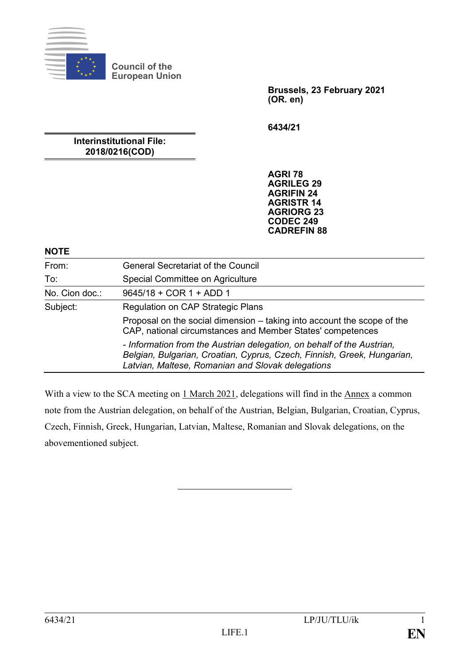

**Council of the European Union**

> **Brussels, 23 February 2021 (OR. en)**

**6434/21**

**Interinstitutional File: 2018/0216(COD)**

> **AGRI 78 AGRILEG 29 AGRIFIN 24 AGRISTR 14 AGRIORG 23 CODEC 249 CADREFIN 88**

#### **NOTE**

| From:          | <b>General Secretariat of the Council</b>                                                                                                                                                              |
|----------------|--------------------------------------------------------------------------------------------------------------------------------------------------------------------------------------------------------|
| To:            | Special Committee on Agriculture                                                                                                                                                                       |
| No. Cion doc.: | 9645/18 + COR 1 + ADD 1                                                                                                                                                                                |
| Subject:       | Regulation on CAP Strategic Plans                                                                                                                                                                      |
|                | Proposal on the social dimension – taking into account the scope of the<br>CAP, national circumstances and Member States' competences                                                                  |
|                | - Information from the Austrian delegation, on behalf of the Austrian,<br>Belgian, Bulgarian, Croatian, Cyprus, Czech, Finnish, Greek, Hungarian,<br>Latvian, Maltese, Romanian and Slovak delegations |

With a view to the SCA meeting on 1 March 2021, delegations will find in the Annex a common note from the Austrian delegation, on behalf of the Austrian, Belgian, Bulgarian, Croatian, Cyprus, Czech, Finnish, Greek, Hungarian, Latvian, Maltese, Romanian and Slovak delegations, on the abovementioned subject.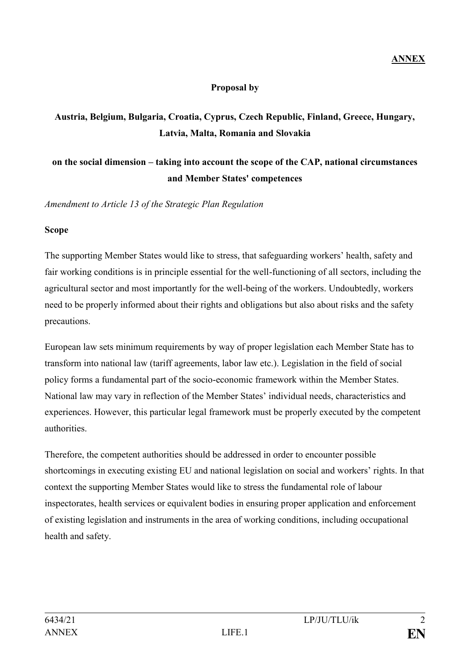## **Proposal by**

# **Austria, Belgium, Bulgaria, Croatia, Cyprus, Czech Republic, Finland, Greece, Hungary, Latvia, Malta, Romania and Slovakia**

# **on the social dimension – taking into account the scope of the CAP, national circumstances and Member States' competences**

*Amendment to Article 13 of the Strategic Plan Regulation*

#### **Scope**

The supporting Member States would like to stress, that safeguarding workers' health, safety and fair working conditions is in principle essential for the well-functioning of all sectors, including the agricultural sector and most importantly for the well-being of the workers. Undoubtedly, workers need to be properly informed about their rights and obligations but also about risks and the safety precautions.

European law sets minimum requirements by way of proper legislation each Member State has to transform into national law (tariff agreements, labor law etc.). Legislation in the field of social policy forms a fundamental part of the socio-economic framework within the Member States. National law may vary in reflection of the Member States' individual needs, characteristics and experiences. However, this particular legal framework must be properly executed by the competent authorities.

Therefore, the competent authorities should be addressed in order to encounter possible shortcomings in executing existing EU and national legislation on social and workers' rights. In that context the supporting Member States would like to stress the fundamental role of labour inspectorates, health services or equivalent bodies in ensuring proper application and enforcement of existing legislation and instruments in the area of working conditions, including occupational health and safety.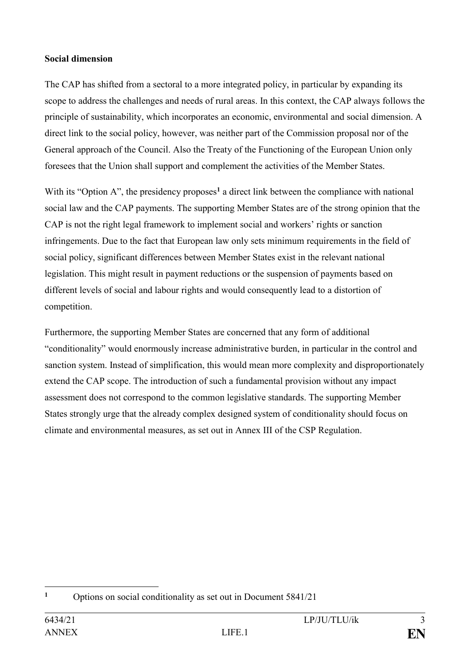#### **Social dimension**

The CAP has shifted from a sectoral to a more integrated policy, in particular by expanding its scope to address the challenges and needs of rural areas. In this context, the CAP always follows the principle of sustainability, which incorporates an economic, environmental and social dimension. A direct link to the social policy, however, was neither part of the Commission proposal nor of the General approach of the Council. Also the Treaty of the Functioning of the European Union only foresees that the Union shall support and complement the activities of the Member States.

With its "Option A", the presidency proposes<sup>1</sup> a direct link between the compliance with national social law and the CAP payments. The supporting Member States are of the strong opinion that the CAP is not the right legal framework to implement social and workers' rights or sanction infringements. Due to the fact that European law only sets minimum requirements in the field of social policy, significant differences between Member States exist in the relevant national legislation. This might result in payment reductions or the suspension of payments based on different levels of social and labour rights and would consequently lead to a distortion of competition.

Furthermore, the supporting Member States are concerned that any form of additional "conditionality" would enormously increase administrative burden, in particular in the control and sanction system. Instead of simplification, this would mean more complexity and disproportionately extend the CAP scope. The introduction of such a fundamental provision without any impact assessment does not correspond to the common legislative standards. The supporting Member States strongly urge that the already complex designed system of conditionality should focus on climate and environmental measures, as set out in Annex III of the CSP Regulation.

<sup>1</sup> **<sup>1</sup>** Options on social conditionality as set out in Document 5841/21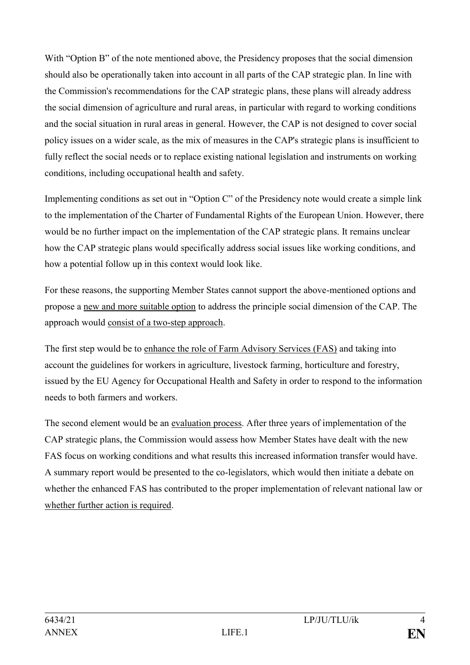With "Option B" of the note mentioned above, the Presidency proposes that the social dimension should also be operationally taken into account in all parts of the CAP strategic plan. In line with the Commission's recommendations for the CAP strategic plans, these plans will already address the social dimension of agriculture and rural areas, in particular with regard to working conditions and the social situation in rural areas in general. However, the CAP is not designed to cover social policy issues on a wider scale, as the mix of measures in the CAP's strategic plans is insufficient to fully reflect the social needs or to replace existing national legislation and instruments on working conditions, including occupational health and safety.

Implementing conditions as set out in "Option C" of the Presidency note would create a simple link to the implementation of the Charter of Fundamental Rights of the European Union. However, there would be no further impact on the implementation of the CAP strategic plans. It remains unclear how the CAP strategic plans would specifically address social issues like working conditions, and how a potential follow up in this context would look like.

For these reasons, the supporting Member States cannot support the above-mentioned options and propose a new and more suitable option to address the principle social dimension of the CAP. The approach would consist of a two-step approach.

The first step would be to enhance the role of Farm Advisory Services (FAS) and taking into account the guidelines for workers in agriculture, livestock farming, horticulture and forestry, issued by the EU Agency for Occupational Health and Safety in order to respond to the information needs to both farmers and workers.

The second element would be an evaluation process. After three years of implementation of the CAP strategic plans, the Commission would assess how Member States have dealt with the new FAS focus on working conditions and what results this increased information transfer would have. A summary report would be presented to the co-legislators, which would then initiate a debate on whether the enhanced FAS has contributed to the proper implementation of relevant national law or whether further action is required.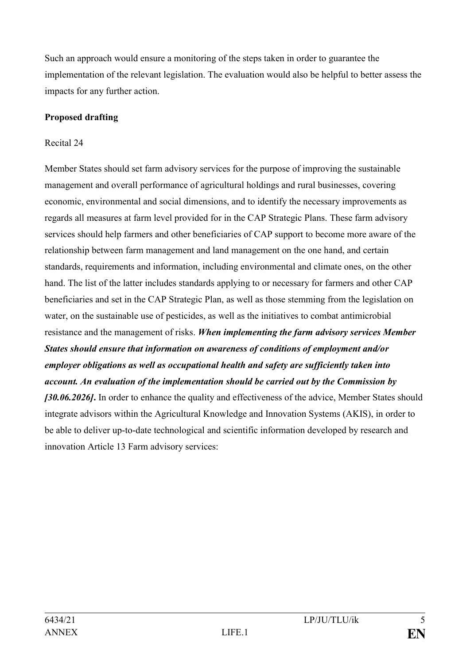Such an approach would ensure a monitoring of the steps taken in order to guarantee the implementation of the relevant legislation. The evaluation would also be helpful to better assess the impacts for any further action.

## **Proposed drafting**

#### Recital 24

Member States should set farm advisory services for the purpose of improving the sustainable management and overall performance of agricultural holdings and rural businesses, covering economic, environmental and social dimensions, and to identify the necessary improvements as regards all measures at farm level provided for in the CAP Strategic Plans. These farm advisory services should help farmers and other beneficiaries of CAP support to become more aware of the relationship between farm management and land management on the one hand, and certain standards, requirements and information, including environmental and climate ones, on the other hand. The list of the latter includes standards applying to or necessary for farmers and other CAP beneficiaries and set in the CAP Strategic Plan, as well as those stemming from the legislation on water, on the sustainable use of pesticides, as well as the initiatives to combat antimicrobial resistance and the management of risks. *When implementing the farm advisory services Member States should ensure that information on awareness of conditions of employment and/or employer obligations as well as occupational health and safety are sufficiently taken into account. An evaluation of the implementation should be carried out by the Commission by [30.06.2026]***.** In order to enhance the quality and effectiveness of the advice, Member States should integrate advisors within the Agricultural Knowledge and Innovation Systems (AKIS), in order to be able to deliver up-to-date technological and scientific information developed by research and innovation Article 13 Farm advisory services: